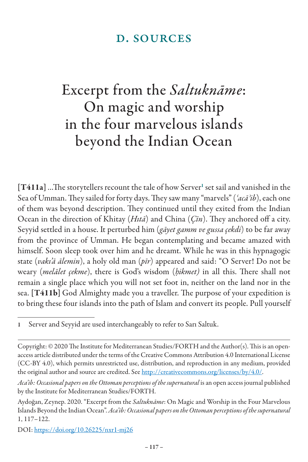## d. sources

## Excerpt from the *Saltuknāme*: On magic and worship in the four marvelous islands beyond the Indian Ocean

[T411a] ...The storytellers recount the tale of how Server<sup>1</sup> set sail and vanished in the Sea of Umman. They sailed for forty days. They saw many "marvels" (*ʿacāʾib*), each one of them was beyond description. They continued until they exited from the Indian Ocean in the direction of Khitay (*Hıtā*) and China (*Çīn*). They anchored off a city. Seyyid settled in a house. It perturbed him (*gāyet gamm ve gussa çekdi*) to be far away from the province of Umman. He began contemplating and became amazed with himself. Soon sleep took over him and he dreamt. While he was in this hypnagogic state (*vakı'ā ālemin*), a holy old man (*pīr*) appeared and said: "O Server! Do not be weary (*melālet çekme*), there is God's wisdom (*ḥikmet)* in all this. There shall not remain a single place which you will not set foot in, neither on the land nor in the sea. [T411b] God Almighty made you a traveller. The purpose of your expedition is to bring these four islands into the path of Islam and convert its people. Pull yourself

1 Server and Seyyid are used interchangeably to refer to Sarı Saltuk.

DOI: https://doi.org/10.26225/nxr1-mj26

Copyright: © 2020 The Institute for Mediterranean Studies/FORTH and the Author(s). This is an openaccess article distributed under the terms of the Creative Commons Attribution 4.0 International License (CC-BY 4.0), which permits unrestricted use, distribution, and reproduction in any medium, provided the original author and source are credited. See http://creativecommons.org/licenses/by/4.0/.

*Aca'ib: Occasional papers on the Ottoman perceptions of the supernatural* is an open access journal published by the Institute for Mediterranean Studies/FORTH.

Aydoğan, Zeynep. 2020. "Excerpt from the *Saltuknāme*: On Magic and Worship in the Four Marvelous Islands Beyond the Indian Ocean". *Aca'ib: Occasional papers on the Ottoman perceptions of the supernatural*  1, 117–122.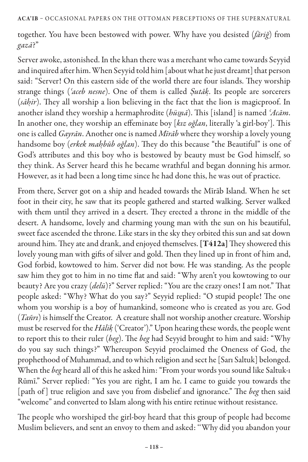together. You have been bestowed with power. Why have you desisted (*fāriğ*) from *gazā*?"

Server awoke, astonished. In the khan there was a merchant who came towards Seyyid and inquired after him. When Seyyid told him [about what he just dreamt] that person said: "Server! On this eastern side of the world there are four islands. They worship strange things (*ʿaceb nesne*). One of them is called *Ṣutāḳ*. Its people are sorcerers (*sāḥir*). They all worship a lion believing in the fact that the lion is magicproof. In another island they worship a hermaphrodite (*hüs*̠*nā*). This [island] is named *ʿAcām*. In another one, they worship an effeminate boy [*kız oğlan*, literally 'a girl-boy']. This one is called *Gayrān*. Another one is named *Mīrāb* where they worship a lovely young handsome boy (*erkek maḥbūb oğlan*). They do this because "the Beautiful" is one of God's attributes and this boy who is bestowed by beauty must be God himself, so they think. As Server heard this he became wrathful and began donning his armor. However, as it had been a long time since he had done this, he was out of practice.

From there, Server got on a ship and headed towards the Mīrāb Island. When he set foot in their city, he saw that its people gathered and started walking. Server walked with them until they arrived in a desert. They erected a throne in the middle of the desert. A handsome, lovely and charming young man with the sun on his beautiful, sweet face ascended the throne. Like stars in the sky they orbited this sun and sat down around him. They ate and drank, and enjoyed themselves. [T412a] They showered this lovely young man with gifts of silver and gold. Then they lined up in front of him and, God forbid, kowtowed to him. Server did not bow. He was standing. As the people saw him they got to him in no time flat and said: "Why aren't you kowtowing to our beauty? Are you crazy (*delü*)?" Server replied: "You are the crazy ones! I am not." That people asked: "Why? What do you say?" Seyyid replied: "O stupid people! The one whom you worship is a boy of humankind, someone who is created as you are. God (*Tañrı*) is himself the Creator. A creature shall not worship another creature. Worship must be reserved for the *Hālik* ('Creator')." Upon hearing these words, the people went *̣* to report this to their ruler (*beg*). The *beg* had Seyyid brought to him and said: "Why do you say such things?" Whereupon Seyyid proclaimed the Oneness of God, the prophethood of Muhammad, and to which religion and sect he [Sarı Saltuk] belonged. When the *beg* heard all of this he asked him: "From your words you sound like Saltuk-ı Rūmī." Server replied: "Yes you are right, I am he. I came to guide you towards the [path of ] true religion and save you from disbelief and ignorance." The *beg* then said "welcome" and converted to Islam along with his entire retinue without resistance.

The people who worshiped the girl-boy heard that this group of people had become Muslim believers, and sent an envoy to them and asked: ''Why did you abandon your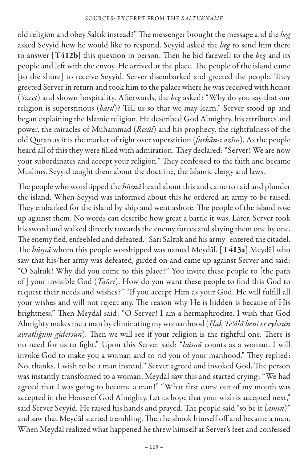old religion and obey Saltık instead?" The messenger brought the message and the *beg* asked Seyyid how he would like to respond. Seyyid asked the *beg* to send him there to answer [T412b] this question in person. Then he bid farewell to the *beg* and its people and left with the envoy. He arrived at the place. The people of the island came [to the shore] to receive Seyyid. Server disembarked and greeted the people. They greeted Server in return and took him to the palace where he was received with honor (*ʿizzet*) and shown hospitality. Afterwards, the *beg* asked: "Why do you say that our religion is superstitious (*bāṭıl*)? Tell us so that we may learn." Server stood up and began explaining the Islamic religion. He described God Almighty, his attributes and power, the miracles of Muhammad (*Resūl*) and his prophecy, the rightfulness of the old Quran as it is the marker of right over superstition (*furkān-ı azīm*). As the people heard all of this they were filled with admiration. They declared: "Server! We are now your subordinates and accept your religion." They confessed to the faith and became Muslims. Seyyid taught them about the doctrine, the Islamic clergy and laws.

The people who worshipped the *hüs*̠*nā* heard about this and came to raid and plunder the island. When Seyyid was informed about this he ordered an army to be raised. They embarked for the island by ship and went ashore. The people of the island rose up against them. No words can describe how great a battle it was. Later, Server took his sword and walked directly towards the enemy forces and slaying them one by one. The enemy fled, enfeebled and defeated. [Sarı Saltuk and his army] entered the citadel. The *hüs*̠*nā* whom this people worshipped was named Meydāl. [T413a] Meydāl who saw that his/her army was defeated, girded on and came up against Server and said: "O Saltuk! Why did you come to this place?" You invite these people to [the path of ] your invisible God (*Tañrı*). How do you want these people to find this God to request their needs and wishes?" "If you accept Him as your God, He will fulfill all your wishes and will not reject any. The reason why He is hidden is because of His brightness." Then Meydāl said: "O Server! I am a hermaphrodite. I wish that God Almighty makes me a man by eliminating my womanhood (*Ḥaḳ Teʿālā beni er eylesün avratlığum gidersün*). Then we will see if your religion is the rightful one. There is no need for us to fight." Upon this Server said: "*hüs*̠*nā* counts as a woman. I will invoke God to make you a woman and to rid you of your manhood." They replied: No, thanks. I wish to be a man instead." Server agreed and invoked God. The person was instantly transformed to a woman. Meydāl saw this and started crying: "We had agreed that I was going to become a man!" "What first came out of my mouth was accepted in the House of God Almighty. Let us hope that your wish is accepted next," said Server Seyyid. He raised his hands and prayed. The people said "so be it (*āmīn*)" and saw that Meydāl started trembling. Then he shook himself off and became a man. When Meydāl realized what happened he threw himself at Server's feet and confessed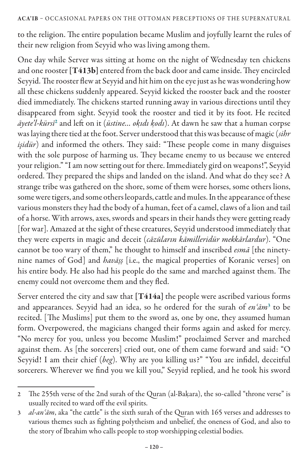to the religion. The entire population became Muslim and joyfully learnt the rules of their new religion from Seyyid who was living among them.

One day while Server was sitting at home on the night of Wednesday ten chickens and one rooster [T413b] entered from the back door and came inside. They encircled Seyyid. The rooster flew at Seyyid and hit him on the eye just as he was wondering how all these chickens suddenly appeared. Seyyid kicked the rooster back and the rooster died immediately. The chickens started running away in various directions until they disappeared from sight. Seyyid took the rooster and tied it by its foot. He recited *āyete'l-kürsī*<sup>2</sup> and left on it (*üstine… oḳıdı ḳodı*). At dawn he saw that a human corpse was laying there tied at the foot. Server understood that this was because of magic (*sihr işidür*) and informed the others. They said: "These people come in many disguises with the sole purpose of harming us. They became enemy to us because we entered your religion." "I am now setting out for there. Immediately gird on weapons!", Seyyid ordered. They prepared the ships and landed on the island. And what do they see? A strange tribe was gathered on the shore, some of them were horses, some others lions, some were tigers, and some others leopards, cattle and mules. In the appearance of these various monsters they had the body of a human, feet of a camel, claws of a lion and tail of a horse. With arrows, axes, swords and spears in their hands they were getting ready [for war]. Amazed at the sight of these creatures, Seyyid understood immediately that they were experts in magic and deceit (*cāzūların kāmilleridür mekkārlardur*). "One cannot be too wary of them," he thought to himself and inscribed *esmā* [the ninetynine names of God] and *havāṣṣ* [i.e., the magical properties of Koranic verses] on his entire body. He also had his people do the same and marched against them. The enemy could not overcome them and they fled.

Server entered the city and saw that [T414a] the people were ascribed various forms and appearances. Seyyid had an idea, so he ordered for the surah of *enʿām*<sup>3</sup> to be recited. [The Muslims] put them to the sword as, one by one, they assumed human form. Overpowered, the magicians changed their forms again and asked for mercy. "No mercy for you, unless you become Muslim!" proclaimed Server and marched against them. As [the sorcerers] cried out, one of them came forward and said: "O Seyyid! I am their chief (*beg*). Why are you killing us?" "You are infidel, deceitful sorcerers. Wherever we find you we kill you," Seyyid replied, and he took his sword

<sup>2</sup> The 255th verse of the 2nd surah of the Quran (al-Bakara), the so-called "throne verse" is usually recited to ward off the evil spirits.

<sup>3</sup> *al-anʿām*, aka "the cattle" is the sixth surah of the Quran with 165 verses and addresses to various themes such as fighting polytheism and unbelief, the oneness of God, and also to the story of Ibrahim who calls people to stop worshipping celestial bodies.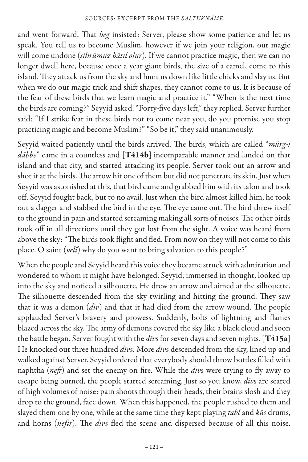and went forward. That *beg* insisted: Server, please show some patience and let us speak. You tell us to become Muslim, however if we join your religion, our magic will come undone (*sihrümüz bāṭıl olur*). If we cannot practice magic, then we can no longer dwell here, because once a year giant birds, the size of a camel, come to this island. They attack us from the sky and hunt us down like little chicks and slay us. But when we do our magic trick and shift shapes, they cannot come to us. It is because of the fear of these birds that we learn magic and practice it." "When is the next time the birds are coming?" Seyyid asked. "Forty-five days left," they replied. Server further said: "If I strike fear in these birds not to come near you, do you promise you stop practicing magic and become Muslim?" "So be it," they said unanimously.

Seyyid waited patiently until the birds arrived. The birds, which are called "*mürg-i dābbe*" came in a countless and [T414b] incomparable manner and landed on that island and that city, and started attacking its people. Server took out an arrow and shot it at the birds. The arrow hit one of them but did not penetrate its skin. Just when Seyyid was astonished at this, that bird came and grabbed him with its talon and took off. Seyyid fought back, but to no avail. Just when the bird almost killed him, he took out a dagger and stabbed the bird in the eye. The eye came out. The bird threw itself to the ground in pain and started screaming making all sorts of noises. The other birds took off in all directions until they got lost from the sight. A voice was heard from above the sky: "The birds took flight and fled. From now on they will not come to this place. O saint (*velī*) why do you want to bring salvation to this people?"

When the people and Seyyid heard this voice they became struck with admiration and wondered to whom it might have belonged. Seyyid, immersed in thought, looked up into the sky and noticed a silhouette. He drew an arrow and aimed at the silhouette. The silhouette descended from the sky twirling and hitting the ground. They saw that it was a demon (*dīv*) and that it had died from the arrow wound. The people applauded Server's bravery and prowess. Suddenly, bolts of lightning and flames blazed across the sky. The army of demons covered the sky like a black cloud and soon the battle began. Server fought with the *dīv*s for seven days and seven nights. [T415a] He knocked out three hundred *dīv*s. More *dīv*s descended from the sky, lined up and walked against Server. Seyyid ordered that everybody should throw bottles filled with naphtha (*neft*) and set the enemy on fire. While the *dīv*s were trying to fly away to escape being burned, the people started screaming. Just so you know, *dīv*s are scared of high volumes of noise: pain shoots through their heads, their brains slosh and they drop to the ground, face down. When this happened, the people rushed to them and slayed them one by one, while at the same time they kept playing *tabl* and *kūs* drums, and horns (*nefīr*). The *dīv*s fled the scene and dispersed because of all this noise.